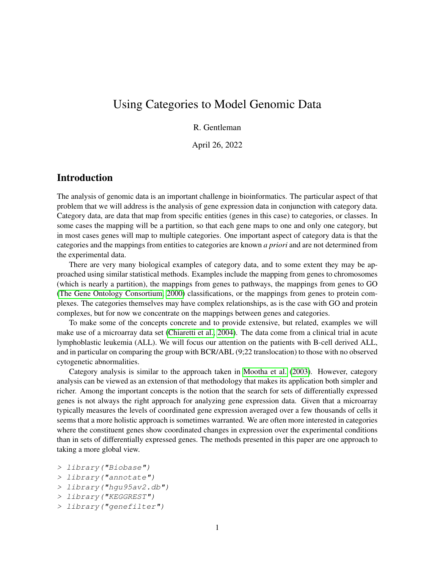# Using Categories to Model Genomic Data

### R. Gentleman

April 26, 2022

## Introduction

The analysis of genomic data is an important challenge in bioinformatics. The particular aspect of that problem that we will address is the analysis of gene expression data in conjunction with category data. Category data, are data that map from specific entities (genes in this case) to categories, or classes. In some cases the mapping will be a partition, so that each gene maps to one and only one category, but in most cases genes will map to multiple categories. One important aspect of category data is that the categories and the mappings from entities to categories are known *a priori* and are not determined from the experimental data.

There are very many biological examples of category data, and to some extent they may be approached using similar statistical methods. Examples include the mapping from genes to chromosomes (which is nearly a partition), the mappings from genes to pathways, the mappings from genes to GO [\(The Gene Ontology Consortium, 2000\)](#page-13-0) classifications, or the mappings from genes to protein complexes. The categories themselves may have complex relationships, as is the case with GO and protein complexes, but for now we concentrate on the mappings between genes and categories.

To make some of the concepts concrete and to provide extensive, but related, examples we will make use of a microarray data set [\(Chiaretti et al., 2004\)](#page-13-1). The data come from a clinical trial in acute lymphoblastic leukemia (ALL). We will focus our attention on the patients with B-cell derived ALL, and in particular on comparing the group with BCR/ABL (9;22 translocation) to those with no observed cytogenetic abnormalities.

Category analysis is similar to the approach taken in [Mootha et al.](#page-13-2) [\(2003\)](#page-13-2). However, category analysis can be viewed as an extension of that methodology that makes its application both simpler and richer. Among the important concepts is the notion that the search for sets of differentially expressed genes is not always the right approach for analyzing gene expression data. Given that a microarray typically measures the levels of coordinated gene expression averaged over a few thousands of cells it seems that a more holistic approach is sometimes warranted. We are often more interested in categories where the constituent genes show coordinated changes in expression over the experimental conditions than in sets of differentially expressed genes. The methods presented in this paper are one approach to taking a more global view.

- > library("Biobase")
- > library("annotate")
- > library("hgu95av2.db")
- > library("KEGGREST")
- > library("genefilter")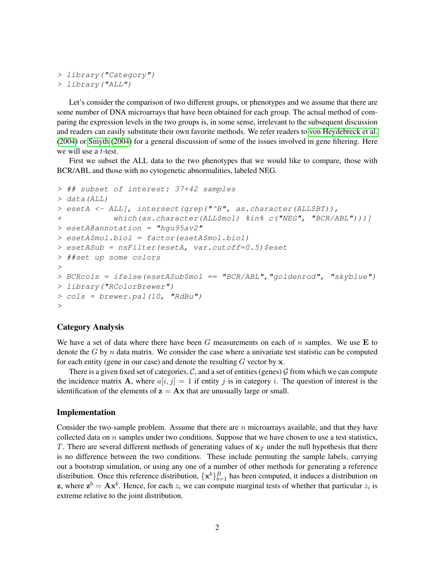```
> library("Category")
> library("ALL")
```
Let's consider the comparison of two different groups, or phenotypes and we assume that there are some number of DNA microarrays that have been obtained for each group. The actual method of comparing the expression levels in the two groups is, in some sense, irrelevant to the subsequent discussion and readers can easily substitute their own favorite methods. We refer readers to [von Heydebreck et al.](#page-13-3) [\(2004\)](#page-13-3) or [Smyth](#page-13-4) [\(2004\)](#page-13-4) for a general discussion of some of the issues involved in gene filtering. Here we will use a *t*-test.

First we subset the ALL data to the two phenotypes that we would like to compare, those with BCR/ABL and those with no cytogenetic abnormalities, labeled NEG.

```
> ## subset of interest: 37+42 samples
> data(ALL)
> esetA <- ALL[, intersect(grep("^B", as.character(ALL$BT)),
+ which(as.character(ALL$mol) %in% c("NEG", "BCR/ABL")))]
> esetA@annotation = "hgu95av2"
> esetA$mol.biol = factor(esetA$mol.biol)
> esetASub = nsFilter(esetA, var.cutoff=0.5)$eset
> ##set up some colors
>
> BCRcols = ifelse(esetASub$mol == "BCR/ABL","goldenrod", "skyblue")
> library("RColorBrewer")
> cols = brewer.pal(10, "RdBu")
>
```
### Category Analysis

We have a set of data where there have been G measurements on each of n samples. We use E to denote the  $G$  by  $n$  data matrix. We consider the case where a univariate test statistic can be computed for each entity (gene in our case) and denote the resulting  $G$  vector by  $x$ .

There is a given fixed set of categories, C, and a set of entities (genes)  $\mathcal G$  from which we can compute the incidence matrix A, where  $a[i, j] = 1$  if entity j is in category i. The question of interest is the identification of the elements of  $z = Ax$  that are unusually large or small.

#### Implementation

Consider the two-sample problem. Assume that there are  $n$  microarrays available, and that they have collected data on  $n$  samples under two conditions. Suppose that we have chosen to use a test statistics, T. There are several different methods of generating values of  $x_T$  under the null hypothesis that there is no difference between the two conditions. These include permuting the sample labels, carrying out a bootstrap simulation, or using any one of a number of other methods for generating a reference distribution. Once this reference distribution,  $\{x^b\}_{b=1}^B$  has been computed, it induces a distribution on z, where  $z^b = Ax^b$ . Hence, for each  $z_i$  we can compute marginal tests of whether that particular  $z_i$  is extreme relative to the joint distribution.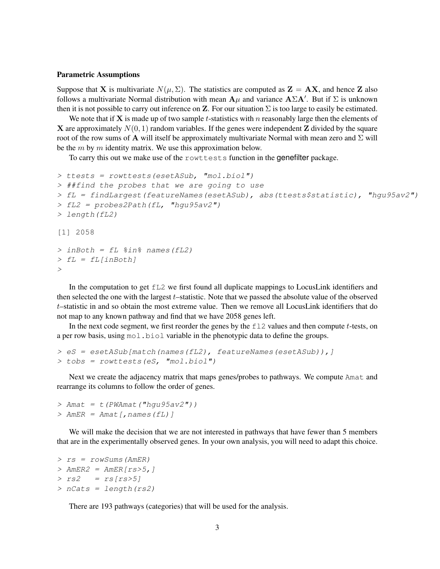#### Parametric Assumptions

Suppose that X is multivariate  $N(\mu, \Sigma)$ . The statistics are computed as  $\mathbf{Z} = \mathbf{A}\mathbf{X}$ , and hence Z also follows a multivariate Normal distribution with mean  $A\mu$  and variance  $A\Sigma A'$ . But if  $\Sigma$  is unknown then it is not possible to carry out inference on **Z**. For our situation  $\Sigma$  is too large to easily be estimated.

We note that if  $X$  is made up of two sample t-statistics with n reasonably large then the elements of X are approximately  $N(0, 1)$  random variables. If the genes were independent Z divided by the square root of the row sums of A will itself be approximately multivariate Normal with mean zero and  $\Sigma$  will be the  $m$  by  $m$  identity matrix. We use this approximation below.

To carry this out we make use of the rowttests function in the genefilter package.

```
> ttests = rowttests(esetASub, "mol.biol")
> ##find the probes that we are going to use
> fL = findLargest(featureNames(esetASub), abs(ttests$statistic), "hgu95av2")
> FL2 = probes2Path(fl. "hqu95av2")> length(fL2)
[1] 2058
> inBoth = fL sin\ names (fL2)
> fL = fL[inBoth]
\rightarrow
```
In the computation to get fL2 we first found all duplicate mappings to LocusLink identifiers and then selected the one with the largest t–statistic. Note that we passed the absolute value of the observed t–statistic in and so obtain the most extreme value. Then we remove all LocusLink identifiers that do not map to any known pathway and find that we have 2058 genes left.

In the next code segment, we first reorder the genes by the  $f12$  values and then compute t-tests, on a per row basis, using  $mod$ . biol variable in the phenotypic data to define the groups.

```
> eS = esetASub[match(names(fL2), featureNames(esetASub)),]
> tobs = rowttests(eS, "mol.biol")
```
Next we create the adjacency matrix that maps genes/probes to pathways. We compute Amat and rearrange its columns to follow the order of genes.

```
> Amat = t (PWAmat ("hqu95av2"))
> AmER = Amat [, names(fL)]
```
We will make the decision that we are not interested in pathways that have fewer than 5 members that are in the experimentally observed genes. In your own analysis, you will need to adapt this choice.

```
> rs = rowSums(AmER)
> AmER2 = AmER[rs>5,]
> rs2 = rs(rs>5)> nCats = length(rs2)
```
There are 193 pathways (categories) that will be used for the analysis.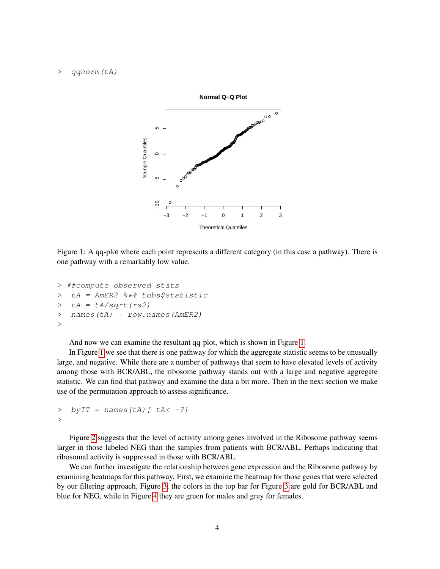#### > qqnorm(tA)



<span id="page-3-0"></span>Figure 1: A qq-plot where each point represents a different category (in this case a pathway). There is one pathway with a remarkably low value.

```
> ##compute observed stats
> tA = AmER2 %*% tobs$statistic
> tA = tA/sqrt(rs2)> names(tA) = row.names(AmER2)
>
```
And now we can examine the resultant qq-plot, which is shown in Figure [1.](#page-3-0)

In Figure [1](#page-3-0) we see that there is one pathway for which the aggregate statistic seems to be unusually large, and negative. While there are a number of pathways that seem to have elevated levels of activity among those with BCR/ABL, the ribosome pathway stands out with a large and negative aggregate statistic. We can find that pathway and examine the data a bit more. Then in the next section we make use of the permutation approach to assess significance.

 $>$  by TT = names (tA) [ tA< -7] >

Figure [2](#page-4-0) suggests that the level of activity among genes involved in the Ribosome pathway seems larger in those labeled NEG than the samples from patients with BCR/ABL. Perhaps indicating that ribosomal activity is suppressed in those with BCR/ABL.

We can further investigate the relationship between gene expression and the Ribosome pathway by examining heatmaps for this pathway. First, we examine the heatmap for those genes that were selected by our filtering approach, Figure [3,](#page-5-0) the colors in the top bar for Figure [3](#page-5-0) are gold for BCR/ABL and blue for NEG, while in Figure [4](#page-6-0) they are green for males and grey for females.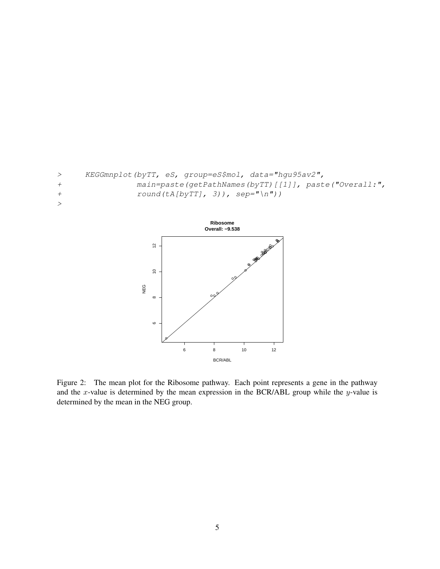



<span id="page-4-0"></span>Figure 2: The mean plot for the Ribosome pathway. Each point represents a gene in the pathway and the x-value is determined by the mean expression in the BCR/ABL group while the y-value is determined by the mean in the NEG group.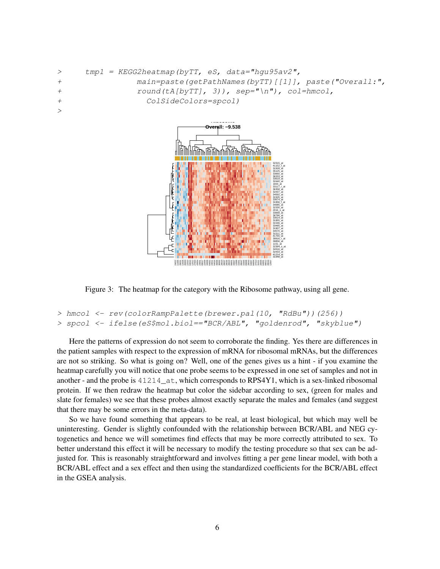```
> tmp1 = KEGG2heatmap(byTT, eS, data="hgu95av2",
+ main=paste(getPathNames(byTT)[[1]], paste("Overall:",
+ round(tA[byTT], 3)), sep="\n"), col=hmcol,
+ ColSideColors=spcol)
>
```


<span id="page-5-0"></span>Figure 3: The heatmap for the category with the Ribosome pathway, using all gene.

```
> hmcol <- rev(colorRampPalette(brewer.pal(10, "RdBu"))(256))
> spcol <- ifelse(eS$mol.biol=="BCR/ABL", "goldenrod", "skyblue")
```
Here the patterns of expression do not seem to corroborate the finding. Yes there are differences in the patient samples with respect to the expression of mRNA for ribosomal mRNAs, but the differences are not so striking. So what is going on? Well, one of the genes gives us a hint - if you examine the heatmap carefully you will notice that one probe seems to be expressed in one set of samples and not in another - and the probe is  $41214$  at, which corresponds to RPS4Y1, which is a sex-linked ribosomal protein. If we then redraw the heatmap but color the sidebar according to sex, (green for males and slate for females) we see that these probes almost exactly separate the males and females (and suggest that there may be some errors in the meta-data).

So we have found something that appears to be real, at least biological, but which may well be uninteresting. Gender is slightly confounded with the relationship between BCR/ABL and NEG cytogenetics and hence we will sometimes find effects that may be more correctly attributed to sex. To better understand this effect it will be necessary to modify the testing procedure so that sex can be adjusted for. This is reasonably straightforward and involves fitting a per gene linear model, with both a BCR/ABL effect and a sex effect and then using the standardized coefficients for the BCR/ABL effect in the GSEA analysis.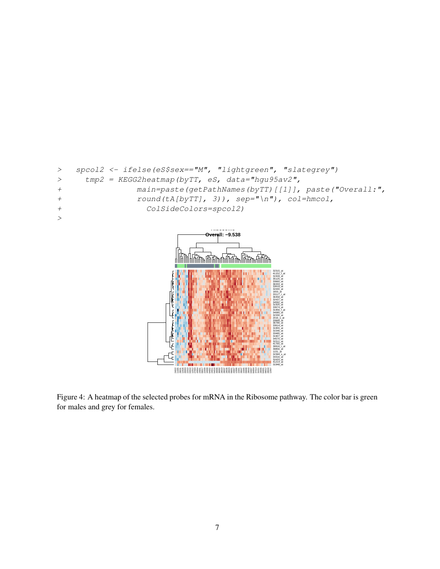```
> spcol2 <- ifelse(eS$sex=="M", "lightgreen", "slategrey")
> tmp2 = KEGG2heatmap(byTT, eS, data="hgu95av2",
+ main=paste(getPathNames(byTT)[[1]], paste("Overall:",
+ round(tA[byTT], 3)), sep="\n"), col=hmcol,
+ ColSideColors=spcol2)
>
                             Ribosome
                            Overall: −9.538
```


<span id="page-6-0"></span>Figure 4: A heatmap of the selected probes for mRNA in the Ribosome pathway. The color bar is green for males and grey for females.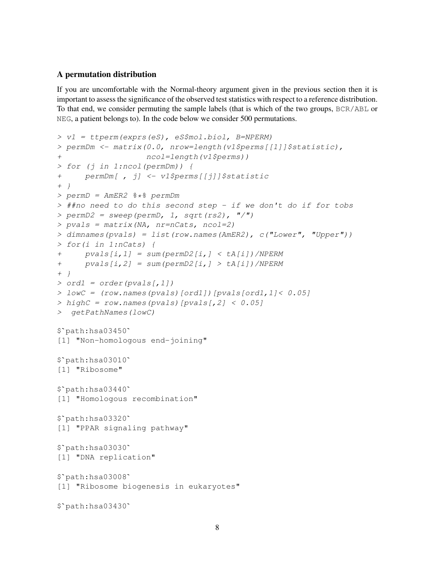### A permutation distribution

If you are uncomfortable with the Normal-theory argument given in the previous section then it is important to assess the significance of the observed test statistics with respect to a reference distribution. To that end, we consider permuting the sample labels (that is which of the two groups, BCR/ABL or NEG, a patient belongs to). In the code below we consider 500 permutations.

```
> v1 = ttperm(exprs(eS), eS$mol.biol, B=NPERM)
> permDm \leq matrix(0.0, nrow=length(v1$perms[[1]]$statistic),
+ ncol=length(v1$perms))
> for (j in 1:ncol(permDm)) {
+ permDm[ , j] <- v1$perms[[j]]$statistic
+ }
> permD = AmER2 %*% permDm
> ##no need to do this second step - if we don't do if for tobs
> permD2 = sweep(permD, 1, sqrt(rs2), \sqrt{''})
> pvals = matrix(NA, nr=nCats, ncol=2)
> dimnames(pvals) = list(row.names(AmER2), c("Lower", "Upper"))
> for(i in 1:nCats) {
+ pvals[i,1] = sum(permD2[i,] < tA[i])/NPERM
+ pvals[i, 2] = sum(permD2[i, ] > tA[i]) / NPERM+ }
> ord1 = order(pvals[,1])
> lowC = (row.names(pvals)[ord1])[pvals[ord1,1]< 0.05]
> highC = row. names(pvals)[pvals[, 2] < 0.05]> getPathNames(lowC)
% highC = row.na<br>% getPathNames<br>$`path:hsa03450`
[1] "Non-homologous end-joining"
$`path:hsa03450`<br>[1] "Non-homolog<br>$`path:hsa03010`
[1] "Ribosome"
$`path:hsa03010`<br>[1] "Ribosome"<br>$`path:hsa03440`
[1] "Homologous recombination"
$`path:hsa03440`<br>[1] "Homologous<br>$`path:hsa03320`
[1] "PPAR signaling pathway"
$`path:hsa03320`<br>[1] "PPAR signal<br>$`path:hsa03030`
[1] "DNA replication"
$`path:hsa03030`<br>[1] "DNA replica<br>$`path:hsa03008`
[1] "Ribosome biogenesis in eukaryotes"
$`path:hsa03008`<br>[1] "Ribosome bi<br>$`path:hsa03430`
```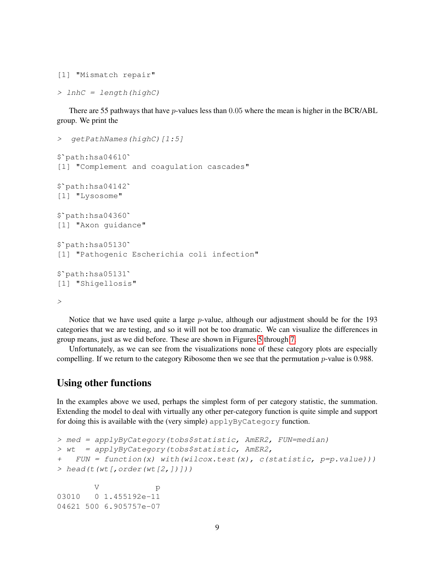[1] "Mismatch repair"

```
> lnhC = length(highC)
```
There are 55 pathways that have  $p$ -values less than 0.05 where the mean is higher in the BCR/ABL group. We print the

```
> getPathNames(highC)[1:5]
> getPathNames<br>$`path:hsa04610`
[1] "Complement and coagulation cascades"
$`path:hsa04610`<br>[1] "Complement<br>$`path:hsa04142`
[1] "Lysosome"
$`path:hsa04360`
[1] "Axon guidance"
$`path:hsa04360`<br>[1] "Axon guidar<br>$`path:hsa05130`
[1] "Pathogenic Escherichia coli infection"
$`path:hsa05130`<br>[1] "Pathogenic<br>$`path:hsa05131`
[1] "Shigellosis"
>
```
Notice that we have used quite a large  $p$ -value, although our adjustment should be for the 193 categories that we are testing, and so it will not be too dramatic. We can visualize the differences in group means, just as we did before. These are shown in Figures [5](#page-9-0) through [7.](#page-11-0)

Unfortunately, as we can see from the visualizations none of these category plots are especially compelling. If we return to the category Ribosome then we see that the permutation  $p$ -value is 0.988.

# Using other functions

04621 500 6.905757e-07

In the examples above we used, perhaps the simplest form of per category statistic, the summation. Extending the model to deal with virtually any other per-category function is quite simple and support for doing this is available with the (very simple) applyByCategory function.

```
> med = applyByCategory(tobs$statistic, AmER2, FUN=median)
> wt = applyByCategory(tobs$statistic, AmER2,
+ FUN = function(x) with(wilcox.test(x), c(statistic, p=p.valule))
> head(t(wt[, order(wt[2,])]))
       V p
03010  0 1.455192e-11
```

```
9
```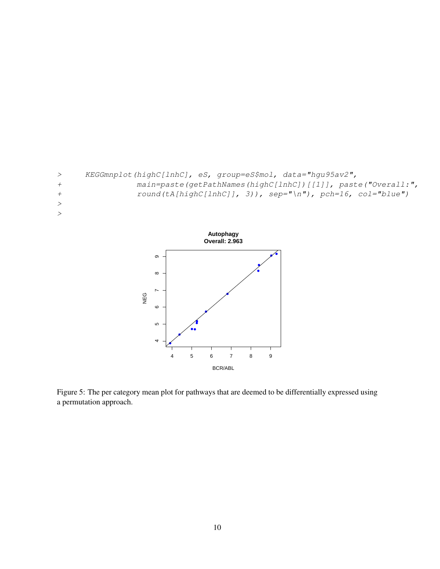



<span id="page-9-0"></span>Figure 5: The per category mean plot for pathways that are deemed to be differentially expressed using a permutation approach.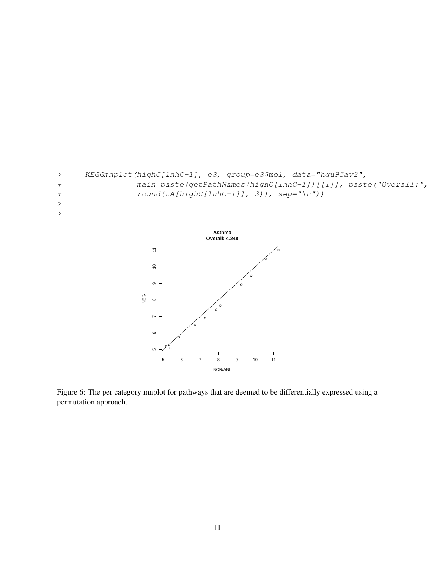



Figure 6: The per category mnplot for pathways that are deemed to be differentially expressed using a permutation approach.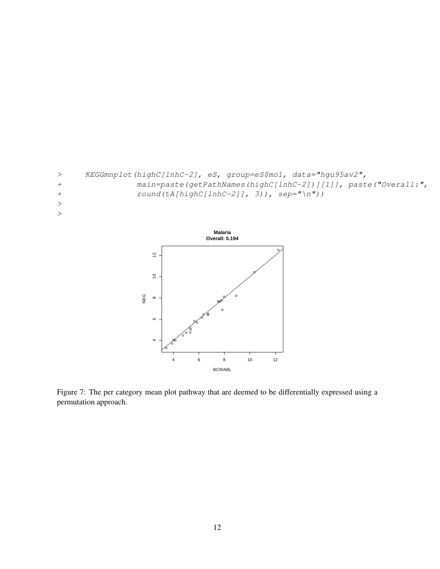



<span id="page-11-0"></span>Figure 7: The per category mean plot pathway that are deemed to be differentially expressed using a permutation approach.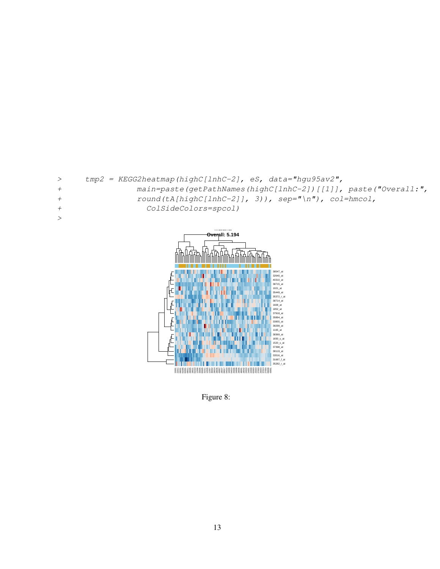| $\geq$ | $tmp2 = KEGG2heatmap(highC[lnhC-2], eS, data="hqu95av2",$      |
|--------|----------------------------------------------------------------|
| $^{+}$ | main=paste(qetPathNames(highC[lnhC-2])[[1]], paste("Overall:", |
| $^{+}$ | round $(tA[highC[1nhC-2]], 3)$ , $sep="\n^n, col=hmcol,$       |
| $^{+}$ | ColSideColors=spcol)                                           |
|        |                                                                |
|        |                                                                |



Figure 8: